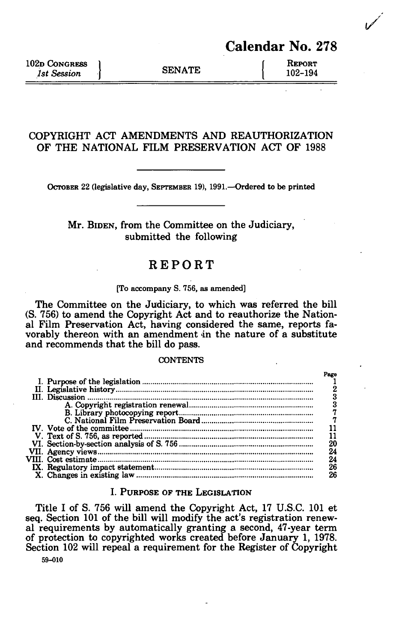102D CONGRESS 1<br>
102 Design SENATE 102-194 **1st Session** 

# **COPYRIGHT ACT AMENDMENTS AND REAUTHORIZATION OF THE NATIONAL FILM PRESERVATION ACT OF** 1988

OCTOBER 22 (legislative day, SEPTEMBER 19), 1991.—Ordered to be printed

# Mr. BIDEN, from the Committee on the Judiciary, submitted the following

# REPORT

#### [To accompany S. 756, as amended]

The Committee on the Judiciary, to which was referred the bill (S. 756) to amend the Copyright Act and to reauthorize the National Film Preservation Act, having considered the same, reports favorably thereon with an amendment in the nature of a substitute and recommends that the bill do pass.

#### **CONTENTS**

|  | Page |
|--|------|
|  |      |
|  |      |
|  |      |
|  |      |
|  |      |
|  |      |
|  |      |
|  |      |
|  | 20   |
|  | 24   |
|  | 24   |
|  | 26   |
|  | 26   |
|  |      |

# I. PURPOSE OF THE LEGISLATION

Title I of S. 756 will amend the Copyright Act, 17 U.S.C. 101 et seq. Section 101 of the bill will modify the act's registration renewal requirements by automatically granting a second, 47-year term of protection to copyrighted works created before January 1, 1978. Section 102 will repeal a requirement for the Register of Copyright **59-010**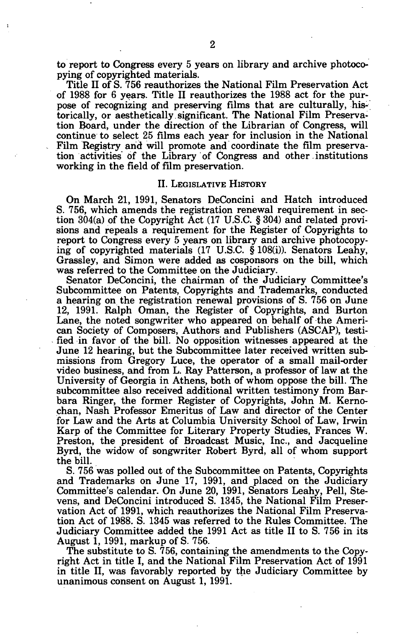to report to Congress every 5 years on library and archive photocopying of copyrighted materials.

Title II of S. 756 reauthorizes the National Film Preservation Act of 1988 for 6 years. Title II reauthorizes the 1988 act for the purpose of recognizing and preserving films that are culturally, historically, or aesthetically.significant. The National Film Preservation Board, under the direction of the Librarian of Congress, will continue to select 25 films each year for inclusion in the National Film Registry and will promote and coordinate the film preservation activities of the Library of Congress and other institutions working in the field of film preservation.

#### II. LEGISLATIVE HISTORY

On March 21, 1991, Senators DeConcini and Hatch introduced S. 756, which amends the registration renewal requirement in section 304(a) of the Copyright Act (17 U.S.C. § 304) and related provisions and repeals a requirement for the Register of Copyrights to report to Congress every 5 years on library and archive photocopying of copyrighted materials  $(17 \text{ U.S.C. } \frac{8}{9}108(i))$ . Senators Leahy, Grassley, and Simon were added as cosponsors on the bill, which was referred to the Committee on the Judiciary.

Senator DeConcini, the chairman of the Judiciary Committee's Subcommittee on Patents, Copyrights and Trademarks, conducted a hearing on the registration renewal provisions of S. 756 on June 12, 1991. Ralph Oman, the Register of Copyrights, and Burton Lane, the noted songwriter who appeared on behalf of the American Society of Composers, Authors and Publishers (ASCAP), testified in favor of the bill. No opposition witnesses appeared at the June 12 hearing, but the Subcommittee later received written submissions from Gregory Luce, the operator of a small mail-order video business, and from L. Ray Patterson, a professor of law at the University of Georgia in Athens, both of whom oppose the bill. The subcommittee also received additional written testimony from Barbara Ringer, the former Register of Copyrights, John M. Kernochan, Nash Professor Emeritus of Law and director of the Center for Law and the Arts at Columbia University School of Law, Irwin Karp of the Committee for Literary Property Studies, Frances W. Preston, the president of Broadcast Music, Inc., and Jacqueline Byrd, the widow of songwriter Robert Byrd, all of whom support the bill.

S. 756 was polled out of the Subcommittee on Patents, Copyrights and Trademarks on June 17, 1991, and placed on the Judiciary Committee's calendar. On June 20, 1991, Senators Leahy, Pell, Stevens, and DeConcini introduced S. 1345, the National Film Preservation Act of 1991, which reauthorizes the National Film Preservation Act of 1988. S. 1345 was referred to the Rules Committee. The Judiciary Committee added the 1991 Act as title II to S. 756 in its August 1, 1991, markup of S. 756.

The substitute to S. 756, containing the amendments to the Copyright Act in title I, and the National Film Preservation Act of 1991 in title II, was favorably reported by the Judiciary Committee by unanimous consent on August 1, 1991.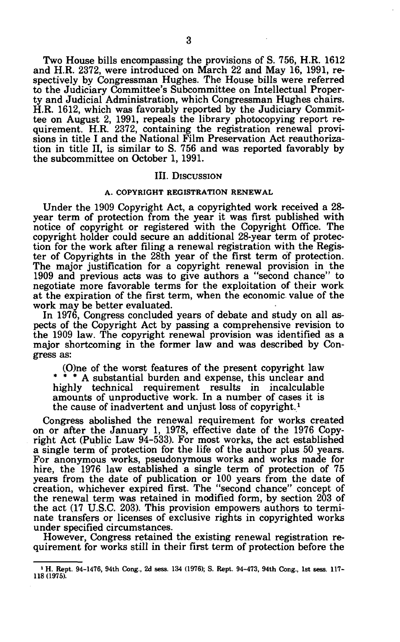Two House bills encompassing the provisions of S. 756, H.R. 1612 and H.R. 2372, were introduced on March 22 and May 16, 1991, respectively by Congressman Hughes. The House bills were referred to the Judiciary Committee's Subcommittee on Intellectual Property and Judicial Administration, which Congressman Hughes chairs. H.R. 1612, which was favorably reported by the Judiciary Committee on August 2, 1991, repeals the library photocopying report requirement. H.R. 2372, containing the registration renewal provisions in title I and the National Film Preservation Act reauthorization in title II, is similar to S. 756 and was reported favorably by the subcommittee on October 1, 1991.

#### III. DISCUSSION

### **A. COPYRIGHT REGISTRATION RENEWAL**

Under the 1909 Copyright Act, a copyrighted work received a 28 year term of protection from the year it was first published with notice of copyright or registered with the Copyright Office. The copyright holder could secure an additional 28-year term of protection for the work after filing a renewal registration with the Register of Copyrights in the 28th year of the first term of protection. The major justification for a copyright renewal provision in the 1909 and previous acts was to give authors a "second chance" to negotiate more favorable terms for the exploitation of their work at the expiration of the first term, when the economic value of the work may be better evaluated.

In 1976, Congress concluded years of debate and study on all aspects of the Copyright Act by passing a comprehensive revision to the 1909 law. The copyright renewal provision was identified as a major shortcoming in the former law and was described by Congress as:

(O)ne of the worst features of the present copyright law \* \* \* A substantial burden and expense, this unclear and highly technical requirement results in incalculable amounts of unproductive work. In a number of cases it is the cause of inadvertent and unjust loss of copyright.*<sup>1</sup>*

Congress abolished the renewal requirement for works created on or after the January 1, 1978, effective date of the 1976 Copyright Act (Public Law 94-533). For most works, the act established a single term of protection for the life of the author plus 50 years. For anonymous works, pseudonymous works and works made for hire, the 1976 law established a single term of protection of 75 years from the date of publication or 100 years from the date of creation, whichever expired first. The "second chance" concept of the renewal term was retained in modified form, by section 203 of the act (17 U.S.C. 203). This provision empowers authors to terminate transfers or licenses of exclusive rights in copyrighted works under specified circumstances.

However, Congress retained the existing renewal registration requirement for works still in their first term of protection before the

**<sup>1</sup> H. Rept. 94-1476, 94th Cong., 2d sess. 134 (1976); S. Rept. 94-473, 94th Cong., 1st sess. 117- 118 (1975).**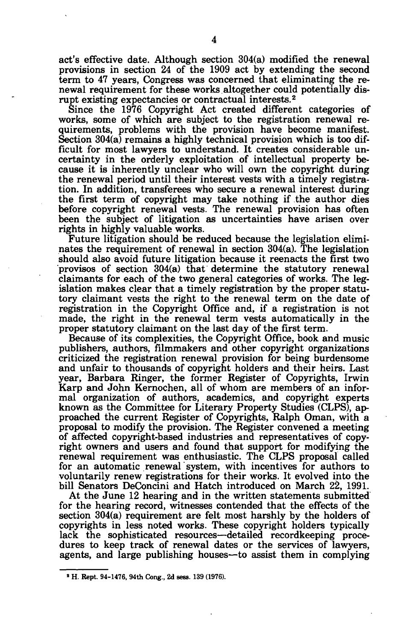act's effective date. Although section 304(a) modified the renewal provisions in section 24 of the 1909 act by extending the second term to 47 years, Congress was concerned that eliminating the renewal requirement for these works altogether could potentially disrupt existing expectancies or contractual interests.<sup>2</sup>

Since the 1976 Copyright Act created different categories of works, some of which are subject to the registration renewal requirements, problems with the provision have become manifest. Section 304(a) remains a highly technical provision which is too difficult for most lawyers to understand. It creates considerable uncertainty in the orderly exploitation of intellectual property because it is inherently unclear who will own the copyright during the renewal period until their interest vests with a timely registration. In addition, transferees who secure a renewal interest during the first term of copyright may take nothing if the author dies before copyright renewal vests. The renewal provision has often been the subject of litigation as uncertainties have arisen over rights in highly valuable works.

Future litigation should be reduced because the legislation eliminates the requirement of renewal in section 304(a). The legislation should also avoid future litigation because it reenacts the first two provisos of section 304(a) that determine the statutory renewal claimants for each of the two general categories of works. The legislation makes clear that a timely registration by the proper statutory claimant vests the right to the renewal term on the date of registration in the Copyright Office and, if a registration is not made, the right in the renewal term vests automatically in the proper statutory claimant on the last day of the first term.

Because of its complexities, the Copyright Office, book and music publishers, authors, filmmakers and other copyright organizations criticized the registration renewal provision for being burdensome and unfair to thousands of copyright holders and their heirs. Last year, Barbara Ringer, the former Register of Copyrights, Irwin Karp and John Kernochen, all of whom are members of an informal organization of authors, academics, and copyright experts known as the Committee for Literary Property Studies (CLPS), approached the current Register of Copyrights, Ralph Oman, with a proposal to modify the provision. The Register convened a meeting of affected copyright-based industries and representatives of copyright owners and users and found that support for modifying the renewal requirement was enthusiastic. The CLPS proposal called for an automatic renewal system, with incentives for authors to voluntarily renew registrations for their works. It evolved into the bill Senators DeConcini and Hatch introduced on March 22, 1991.

At the June 12 hearing and in the written statements submitted for the hearing record, witnesses contended that the effects of the section 304(a) requirement are felt most harshly by the holders of copyrights in less noted works. These copyright holders typically lack the sophisticated resources—detailed recordkeeping procedures to keep track of renewal dates or the services of lawyers, agents, and large publishing houses—to assist them in complying

**<sup>\*</sup> H. Rept. 94-1476, 94th Cong., 2d sess. 139 (1976).**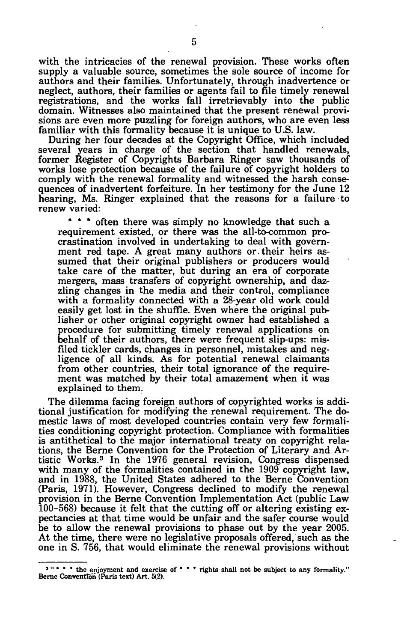with the intricacies of the renewal provision. These works often supply a valuable source, sometimes the sole source of income for authors and their families. Unfortunately, through inadvertence or neglect, authors, their families or agents fail to file timely renewal registrations, and the works fall irretrievably into the public domain. Witnesses also maintained that the present renewal provisions are even more puzzling for foreign authors, who are even less familiar with this formality because it is unique to U.S. law.

During her four decades at the Copyright Office, which included several years in charge of the section that handled renewals, former Register of Copyrights Barbara Ringer saw thousands of works lose protection because of the failure of copyright holders to comply with the renewal formality and witnessed the harsh consequences of inadvertent forfeiture. In her testimony for the June 12 hearing, Ms. Ringer explained that the reasons for a failure to renew varied:

\* \* \* often there was simply no knowledge that such a requirement existed, or there was the all-to-common procrastination involved in undertaking to deal with government red tape. A great many authors or. their heirs assumed that their original publishers or producers would take care of the matter, but during an era of corporate mergers, mass transfers of copyright ownership, and dazzling changes in the media and their control, compliance with a formality connected with a 28-year old work could easily get lost in the shuffle. Even where the original publisher or other original copyright owner had established a procedure for submitting timely renewal applications on behalf of their authors, there were frequent slip-ups: misfiled tickler cards, changes in personnel, mistakes and negligence of all kinds. As for potential renewal claimants from other countries, their total ignorance of the requirement was matched by their total amazement when it was explained to them.

The dilemma facing foreign authors of copyrighted works is additional justification for modifying the renewal requirement. The domestic laws of most developed countries contain very few formalities conditioning copyright protection. Compliance with formalities is antithetical to the major international treaty on copyright relations, the Berne Convention for the Protection of Literary and Artistic Works.<sup>3</sup> In the 1976 general revision, Congress dispensed with many of the formalities contained in the 1909 copyright law, and in 1988, the United States adhered to the Berne Convention (Paris, 1971). However, Congress declined to modify the renewal provision in the Berne Convention Implementation Act (public Law 100-568) because it felt that the cutting off or altering existing expectancies at that time would be unfair and the safer course would be to allow the renewal provisions to phase out by the year 2005. At the time, there were no legislative proposals offered, such as the one in S. 756, that would eliminate the renewal provisions without

<sup>&</sup>lt;sup>3</sup> " \* \* \* the enjoyment and exercise of \* \* \* rights shall not be subject to any formality." **Berne Convention (Paris text) Art. 5(2).**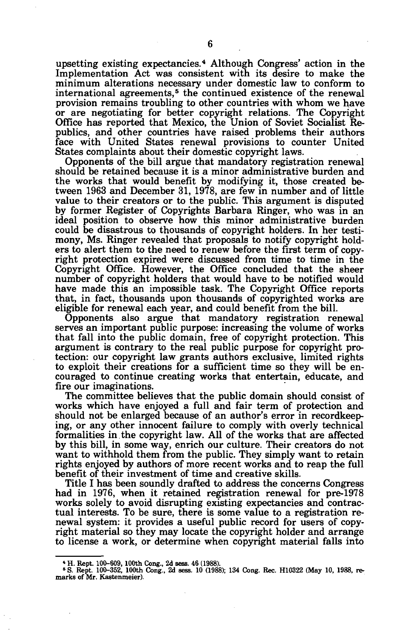upsetting existing expectancies.<sup>4</sup> Although Congress' action in the Implementation Act was consistent with its desire to make the minimum alterations necessary under domestic law to conform to international agreements,<sup>5</sup> the continued existence of the renewal provision remains troubling to other countries with whom we have or are negotiating for better copyright relations. The Copyright Office has reported that Mexico, the Union of Soviet Socialist Republics, and other countries have raised problems their authors face with United States renewal provisions to counter United States complaints about their domestic copyright laws.

Opponents of the bill argue that mandatory registration renewal should be retained because it is a minor administrative burden and the works that would benefit by modifying it, those created between 1963 and December 31, 1978, are few in number and of little value to their creators or to the public. This argument is disputed by former Register of Copyrights Barbara Ringer, who was in an ideal position to observe how this minor administrative burden could be disastrous to thousands of copyright holders. In her testimony, Ms. Ringer revealed that proposals to notify copyright holders to alert them to the need to renew before the first term of copyright protection expired were discussed from time to time in the Copyright Office. However, the Office concluded that the sheer number of copyright holders that would have to be notified would have made this an impossible task. The Copyright Office reports that, in fact, thousands upon thousands of copyrighted works are eligible for renewal each year, and could benefit from the bill.

Opponents also argue that mandatory registration renewal serves an important public purpose: increasing the volume of works that fall into the public domain, free of copyright protection. This argument is contrary to the real public purpose for copyright protection: our copyright law grants authors exclusive, limited rights to exploit their creations for a sufficient time so they will be encouraged to continue creating works that entertain, educate, and fire our imaginations.

The committee believes that the public domain should consist of works which have enjoyed a full and fair term of protection and should not be enlarged because of an author's error in recordkeeping, or any other innocent failure to comply with overly technical formalities in the copyright law. All of the works that are affected by this bill, in some way, enrich our culture. Their creators do not want to withhold them from the public. They simply want to retain rights enjoyed by authors of more recent works and to reap the full benefit of their investment of time and creative skills.

Title I has been soundly drafted to address the concerns Congress had in 1976, when it retained registration renewal for pre-1978 works solely to avoid disrupting existing expectancies and contractual interests. To be sure, there is some value to a registration renewal system: it provides a useful public record for users of copyright material so they may locate the copyright holder and arrange to license a work, or determine when copyright material falls into

*<sup>\*</sup>* **H. Rept. 100-609, 100th Cong., 2d sess. 46 (1988). <sup>6</sup> S. Rept. 100-352, 100th Cong., 2d sess. 10 (1988); 134 Cong. Rec. H10322 (May 10, 1988, remarks of Mr. Kastenmeier).**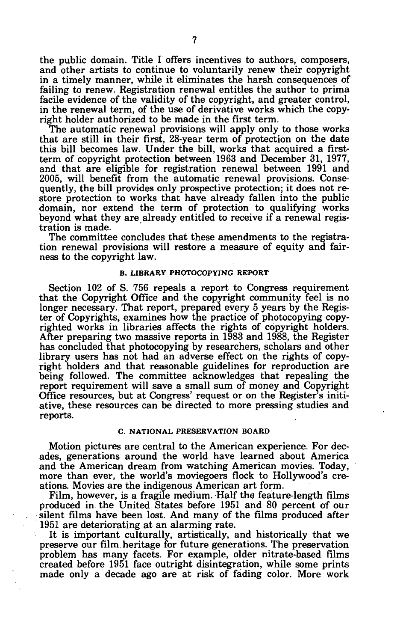the public domain. Title I offers incentives to authors, composers, and other artists to continue to voluntarily renew their copyright in a timely manner, while it eliminates the harsh consequences of failing to renew. Registration renewal entitles the author to prima facile evidence of the validity of the copyright, and greater control, in the renewal term, of the use of derivative works which the copyright holder authorized to be made in the first term.

The automatic renewal provisions will apply only to those works that are still in their first, 28-year term of protection on the date this bill becomes law. Under the bill, works that acquired a firstterm of copyright protection between 1963 and December 31, 1977, and that are eligible for registration renewal between 1991 and 2005, will benefit from the automatic renewal provisions. Consequently, the bill provides only prospective protection; it does not restore protection to works that have already fallen into the public domain, nor extend the term of protection to qualifying works beyond what they are already entitled to receive if a renewal registration is made.

The committee concludes that these amendments to the registration renewal provisions will restore a measure of equity and fairness to the copyright law.

#### **B. LIBRARY PHOTOCOPYING REPORT**

Section 102 of S. 756 repeals a report to Congress requirement that the Copyright Office and the copyright community feel is no longer necessary. That report, prepared every 5 years by the Register of Copyrights, examines how the practice of photocopying copyrighted works in libraries affects the rights of copyright holders. After preparing two massive reports in 1983 and 1988, the Register has concluded that photocopying by researchers, scholars and other library users has not had an adverse effect on the rights of copyright holders and that reasonable guidelines for reproduction are being followed. The committee acknowledges that repealing the report requirement will save a small sum of money and Copyright Office resources, but at Congress' request or on the Register's initiative, these resources can be directed to more pressing studies and reports.

### **C. NATIONAL PRESERVATION BOARD**

Motion pictures are central to the American experience. For decades, generations around the world have learned about America and the American dream from watching American movies. Today, more than ever, the world's moviegoers flock to Hollywood's creations. Movies are the indigenous American art form.

Film, however, is a fragile medium. Half the feature-length films produced in the United States before 1951 and 80 percent of our silent films have been lost. And many of the films produced after 1951 are deteriorating at an alarming rate.

It is important culturally, artistically, and historically that we preserve our film heritage for future generations. The preservation problem has many facets. For example, older nitrate-based films created before 1951 face outright disintegration, while some prints made only a decade ago are at risk of fading color. More work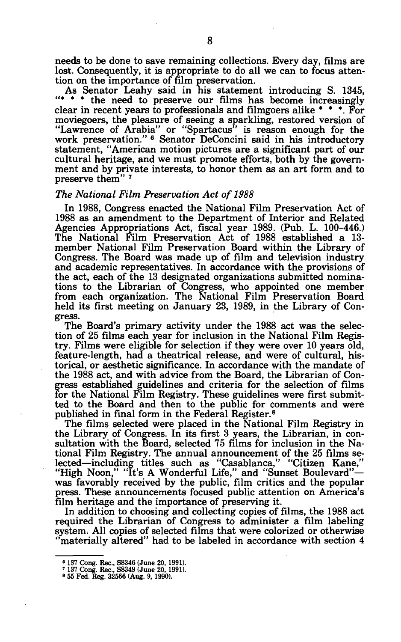needs to be done to save remaining collections. Every day, films are lost. Consequently, it is appropriate to do all we can to focus attention on the importance of film preservation.

As Senator Leahy said in his statement introducing S. 1345, "\* \* \* the need to preserve our films has become increasingly clear in recent years to professionals and filmgoers alike \* \* \*. For moviegoers, the pleasure of seeing a sparkling, restored version of "Lawrence of Arabia" or "Spartacus" is reason enough for the work preservation." <sup>6</sup> Senator DeConcini said in his introductory statement, "American motion pictures are a significant part of our cultural heritage, and we must promote efforts, both by the government and by private interests, to honor them as an art form and to preserve them"<sup>7</sup>

### *The National Film Preservation Act of 1988*

In 1988, Congress enacted the National Film Preservation Act of 1988 as an amendment to the Department of Interior and Related Agencies Appropriations Act, fiscal year 1989. (Pub. L. 100-446.) The National Film Preservation Act of 1988 established a 13 member National Film Preservation Board within the Library of Congress. The Board was made up of film and television industry and academic representatives. In accordance with the provisions of the act, each of the 13 designated organizations submitted nominations to the Librarian of Congress, who appointed one member from each organization. The National Film Preservation Board held its first meeting on January 23, 1989, in the Library of Congress.

The Board's primary activity under the 1988 act was the selection of 25 films each year for inclusion in the National Film Registry. Films were eligible for selection if they were over 10 years old, feature-length, had a theatrical release, and were of cultural, historical, or aesthetic significance. In accordance with the mandate of the 1988 act, and with advice from the Board, the Librarian of Congress established guidelines and criteria for the selection of films for the National Film Registry. These guidelines were first submitted to the Board and then to the public for comments and were published in final form in the Federal Register.<sup>8</sup>

The films selected were placed in the National Film Registry in the Library of Congress. In its first 3 years, the Librarian, in consultation with the Board, selected 75 films for inclusion in the National Film Registry. The annual announcement of the 25 films selected—including titles such as "Casablanca," "Citizen Kane," "High Noon," "It's A Wonderful Life," and "Sunset Boulevard"was favorably received by the public, film critics and the popular press. These announcements focused public attention on America's film heritage and the importance of preserving it.

In addition to choosing and collecting copies of films, the 1988 act required the Librarian of Congress to administer a film labeling system. All copies of selected films that were colorized or otherwise "materially altered" had to be labeled in accordance with section 4

**<sup>6</sup> 137 Cong. Rec., S8346 (June 20, 1991). ' 137 Cong. Rec., S8349 (June 20, 1991). • 55 Fed. Reg. 32566 (Aug. 9,1990).**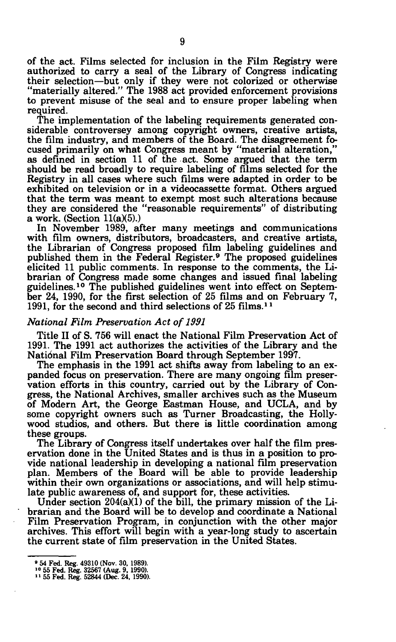of the act. Films selected for inclusion in the Film Registry were authorized to carry a seal of the Library of Congress indicating their selection—but only if they were not colorized or otherwise "materially altered." The 1988 act provided enforcement provisions to prevent misuse of the seal and to ensure proper labeling when required.

The implementation of the labeling requirements generated considerable controversey among copyright owners, creative artists, the film industry, and members of the Board. The disagreement focused primarily on what Congress meant by "material alteration," as defined in section 11 of the act. Some argued that the term should be read broadly to require labeling of films selected for the Registry in all cases where such films were adapted in order to be exhibited on television or in a videocassette format. Others argued that the term was meant to exempt most such alterations because they are considered the "reasonable requirements" of distributing a work. (Section 11(a)(5).)

In November 1989, after many meetings and communications with film owners, distributors, broadcasters, and creative artists, the Librarian of Congress proposed film labeling guidelines and published them in the Federal Register.<sup>9</sup> The proposed guidelines elicited 11 public comments. In response to the comments, the Librarian of Congress made some changes and issued final labeling guidelines.<sup>10</sup> The published guidelines went into effect on September 24, 1990, for the first selection of 25 films and on February 7, 1991, for the second and third selections of  $25$  films.<sup>11</sup>

# *National Film Preservation Act of 1991*

Title II of S. 756 will enact the National Film Preservation Act of 1991. The 1991 act authorizes the activities of the Library and the Natidnal Film Preservation Board through September 1997.

The emphasis in the 1991 act shifts away from labeling to an expanded focus on preservation. There are many ongoing film preservation efforts in this country, carried out by the Library of Congress, the National Archives, smaller archives such as the Museum of Modern Art, the George Eastman House, and UCLA, and by some copyright owners such as Turner Broadcasting, the Hollywood studios, and others. But there is little coordination among these groups.

The Library of Congress itself undertakes over half the film preservation done in the United States and is thus in a position to provide national leadership in developing a national film preservation plan. Members of the Board will be able to provide leadership within their own organizations or associations, and will help stimulate public awareness of, and support for, these activities.

Under section 204(a)(1) of the bill, the primary mission of the Librarian and the Board will be to develop and coordinate a National Film Preservation Program, in conjunction with the other major archives. This effort will begin with a year-long study to ascertain the current state of film preservation in the United States.

**<sup>• 54</sup> Fed. Reg. 49310 (Nov. 30, 1989). >° 55 Fed. Reg. 32567 (Aug. 9, 1990). <sup>1</sup>' 55 Fed. Reg. 52844 (Dec. 24, 1990).**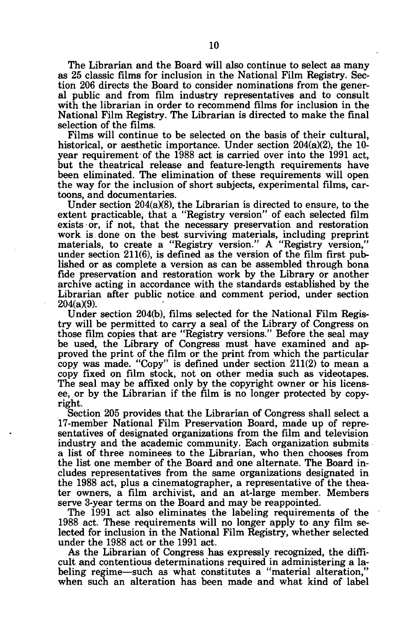The Librarian and the Board will also continue to select as many as 25 classic films for inclusion in the National Film Registry. Section 206 directs the Board to consider nominations from the general public and from film industry representatives and to consult with the librarian in order to recommend films for inclusion in the National Film Registry. The Librarian is directed to make the final selection of the films.

Films will continue to be selected on the basis of their cultural, historical, or aesthetic importance. Under section 204(a)(2), the 10 year requirement of the 1988 act is carried over into the 1991 act, but the theatrical release and feature-length requirements have been eliminated. The elimination of these requirements will open the way for the inclusion of short subjects, experimental films, cartoons, and documentaries.

Under section 204(a)(8), the Librarian is directed to ensure, to the extent practicable, that a "Registry version" of each selected film exists or, if not, that the necessary preservation and restoration work is done on the best surviving materials, including preprint materials, to create a "Registry version." A "Registry version," under section 211(6), is defined as the version of the film first published or as complete a version as can be assembled through bona fide preservation and restoration work by the Library or another archive acting in accordance with the standards established by the Librarian after public notice and comment period, under section 204(a)(9).

Under section 204(b), films selected for the National Film Registry will be permitted to carry a seal of the Library of Congress on those film copies that are "Registry versions." Before the seal may be used, the Library of Congress must have examined and approved the print of the film or the print from which the particular copy was made. "Copy" is defined under section 211(2) to mean a copy fixed on film stock, not on other media such as videotapes. The seal may be affixed only by the copyright owner or his licensee, or by the Librarian if the film is no longer protected by copyright.

Section 205 provides that the Librarian of Congress shall select a 17-member National Film Preservation Board, made up of representatives of designated organizations from the film and television industry and the academic community. Each organization submits a list of three nominees to the Librarian, who then chooses from the list one member of the Board and one alternate. The Board includes representatives from the same organizations designated in the 1988 act, plus a cinematographer, a representative of the theater owners, a film archivist, and an at-large member. Members serve 3-year terms on the Board and may be reappointed.

The 1991 act also eliminates the labeling requirements of the 1988 act. These requirements will no longer apply to any film selected for inclusion in the National Film Registry, whether selected under the 1988 act or the 1991 act.

As the Librarian of Congress has expressly recognized, the difficult and contentious determinations required in administering a labeling regime—such as what constitutes a "material alteration," when such an alteration has been made and what kind of label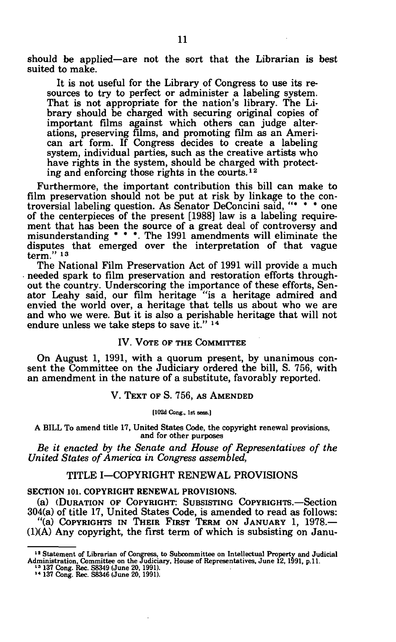should be applied—are not the sort that the Librarian is best suited to make.

It is not useful for the Library of Congress to use its resources to try to perfect or administer a labeling system. That is not appropriate for the nation's library. The Library should be charged with securing original copies of important films against which others can judge alterations, preserving films, and promoting film as an American art form. If Congress decides to create a labeling system, individual parties, such as the creative artists who have rights in the system, should be charged with protecting and enforcing those rights in the courts.*<sup>12</sup>*

Furthermore, the important contribution this bill can make to film preservation should not be put at risk by linkage to the controversial labeling question. As Senator DeConcini said, "\* \* \* one of the centerpieces of the present [1988] law is a labeling requirement that has been the source of a great deal of controversy and misunderstanding \* \* \*. The 1991 amendments will eliminate the disputes that emerged over the interpretation of that vague  $term.<sup>7</sup>$ <sup>13</sup>

The National Film Preservation Act of 1991 will provide a much needed spark to film preservation and restoration efforts throughout the country. Underscoring the importance of these efforts, Senator Leahy said, our film heritage "is a heritage admired and envied the world over, a heritage that tells us about who we are and who we were. But it is also a perishable heritage that will not endure unless we take steps to save it." <sup>14</sup>

# IV. VOTE OF THE COMMITTEE

On August 1, 1991, with a quorum present, by unanimous consent the Committee on the Judiciary ordered the bill, S. 756, with an amendment in the nature of a substitute, favorably reported.

#### V. TEXT OF S. 756, AS AMENDED

**[102d Cong., 1st sess.]** 

A **BILL** To amend title 17, United States Code, the copyright renewal provisions, and for other purposes

*Be it enacted by the Senate and House of Representatives of the United States of America in Congress assembled,* 

# TITLE I—COPYRIGHT RENEWAL PROVISIONS

# **SECTION 101. COPYRIGHT RENEWAL PROVISIONS.**

(a) (DURATION OF COPYRIGHT: SUBSISTING COPYRIGHTS.—Section 304(a) of title 17, United States Code, is amended to read as follows: "(a) COPYRIGHTS IN THEIR FIRST TERM ON JANUARY 1, 1978.— (1)(A) Any copyright, the first term of which is subsisting on Janu-

<sup>&</sup>lt;sup>12</sup> Statement of Librarian of Congress, to Subcommittee on Intellectual Property and Judicial Administration, Committee on the Judicial and Statement of the Judicial is a set of Representatives, June 12, 1991, p.11.<br><sup>13</sup>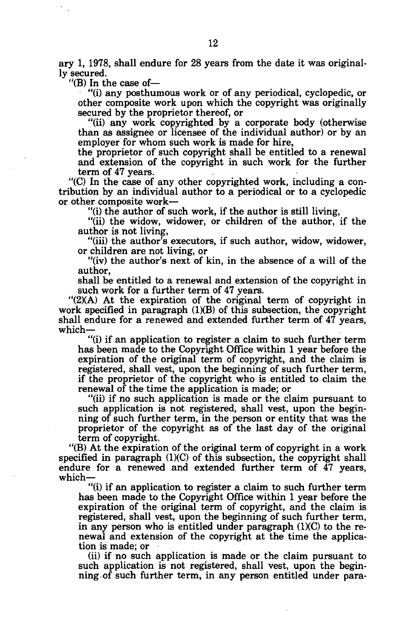ary 1, 1978, shall endure for 28 years from the date it was originally secured.

"(B) In the case of—

"(i) any posthumous work or of any periodical, cyclopedic, or other composite work upon which the copyright was originally secured by the proprietor thereof, or

"(ii) any work copyrighted by a corporate body (otherwise than as assignee or licensee of the individual author) or by an employer for whom such work is made for hire,

the proprietor of such copyright shall be entitled to a renewal and extension of the copyright in such work for the further term of 47 years.

"(C) In the case of any other copyrighted work, including a contribution by an individual author to a periodical or to a cyclopedic or other composite work—

"(i) the author of such work, if the author is still living,

"(ii) the widow, widower, or children of the author, if the author is not living,

"(iii) the author's executors, if such author, widow, widower, or children are not living, or

"(iv) the author's next of kin, in the absence of a will of the author,

shall be entitled to a renewal and extension of the copyright in such work for a further term of 47 years.

"(2)(A) At the expiration of the original term of copyright in work specified in paragraph  $(1)(B)$  of this subsection, the copyright shall endure for a renewed and extended further term of 47 years, which-

"(i) if an application to register a claim to such further term has been made to the Copyright Office within 1 year before the expiration of the original term of copyright, and the claim is registered, shall vest, upon the beginning of such further term, if the proprietor of the copyright who is entitled to claim the renewal of the time the application is made; or

"(ii) if no such application is made or the claim pursuant to such application is not registered, shall vest, upon the beginning of such further term, in the person or entity that was the proprietor of the copyright as of the last day of the original term of copyright.

"(B) At the expiration of the original term of copyright in a work specified in paragraph (1)(C) of this subsection, the copyright shall endure for a renewed and extended further term of 47 years, which—

"(i) if an application to register a claim to such further term has been made to the Copyright Office within 1 year before the expiration of the original term of copyright, and the claim is registered, shall vest, upon the beginning of such further term, in any person who is entitled under paragraph  $(1)(C)$  to the renewal and extension of the copyright at the time the application is made; or

(ii) if no such application is made or the claim pursuant to such application is not registered, shall vest, upon the beginning of such further term, in any person entitled under para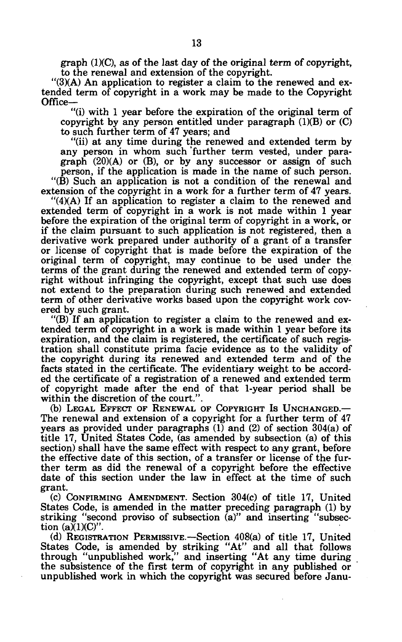graph (1)(C), as of the last day of the original term of copyright, to the renewal and extension of the copyright.

"(3)(A) An application to register a claim to the renewed and extended term of copyright in a work may be made to the Copyright Office—

"(i) with 1 year before the expiration of the original term of copyright by any person entitled under paragraph  $(1)(B)$  or  $(C)$ to such further term of 47 years; and

"(ii) at any time during the renewed and extended term by any person in whom such further term vested, under paragraph (20)(A) or (B), or by any successor or assign of such person, if the application is made in the name of such person. "(B) Such an application is not a condition of the renewal and extension of the copyright in a work for a further term of 47 years.

"(4)(A) If an application to register a claim to the renewed and extended term of copyright in a work is not made within 1 year before the expiration of the original term of copyright in a work, or if the claim pursuant to such application is not registered, then a derivative work prepared under authority of a grant of a transfer or license of copyright that is made before the expiration of the original term of copyright, may continue to be used under the terms of the grant during the renewed and extended term of copyright without infringing the copyright, except that such use does not extend to the preparation during such renewed and extended term of other derivative works based upon the copyright work covered by such grant.

"(B) If an application to register a claim to the renewed and extended term of copyright in a work is made within 1 year before its expiration, and the claim is registered, the certificate of such registration shall constitute prima facie evidence as to the validity of the copyright during its renewed and extended term and of the facts stated in the certificate. The evidentiary weight to be accorded the certificate of a registration of a renewed and extended term of copyright made after the end of that 1-year period shall be within the discretion of the court.".

(b) LEGAL EFFECT OF RENEWAL OF COPYRIGHT IS UNCHANGED.— The renewal and extension of a copyright for a further term of 47 years as provided under paragraphs  $(1)$  and  $(2)$  of section 304(a) of title 17, United States Code, (as amended by subsection (a) of this section) shall have the same effect with respect to any grant, before the effective date of this section, of a transfer or license of the further term as did the renewal of a copyright before the effective date of this section under the law in effect at the time of such grant.

(c) CONFIRMING AMENDMENT. Section 304(c) of title 17, United States Code, is amended in the matter preceding paragraph (1) by striking "second proviso of subsection (a)" and inserting "subsection  $(a)(1)(C)$ ".

(d) REGISTRATION PERMISSIVE.—Section 408(a) of title 17, United States Code, is amended by striking "At" and all that follows through "unpublished work," and inserting "At any time during the subsistence of the first term of copyright in any published or unpublished work in which the copyright was secured before Janu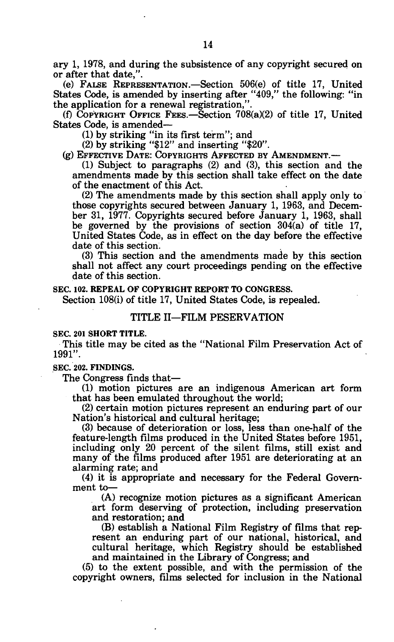ary 1, 1978, and during the subsistence of any copyright secured on or after that date,".

(e) FALSE REPRESENTATION.—Section 506(e) of title 17, United States Code, is amended by inserting after "409," the following: "in the application for a renewal registration,".

(f) COPYRIGHT OFFICE FEES.—Section 708(a)(2) of title 17, United States Code, is amended—

(1) by striking "in its first term"; and

(2) by striking "\$12" and inserting "\$20".

(g) EFFECTIVE DATE: COPYRIGHTS AFFECTED BY AMENDMENT.—

(1) Subject to paragraphs (2) and (3), this section and the amendments made by this section shall take effect on the date of the enactment of this Act.

(2) The amendments made by this section shall apply only to those copyrights secured between January 1, 1963, and December 31, 1977. Copyrights secured before January 1, 1963, shall be governed by the provisions of section 304(a) of title 17, United States Code, as in effect on the day before the effective date of this section.

(3) This section and the amendments made by this section shall not affect any court proceedings pending on the effective date of this section.

#### **SEC. 102. REPEAL OF COPYRIGHT REPORT TO CONGRESS.**

Section 108(i) of title 17, United States Code, is repealed.

### TITLE II—FILM RESERVATION

#### **SEC. 201 SHORT TITLE.**

This title may be cited as the "National Film Preservation Act of 1991".

**SEC. 202. FINDINGS.** 

The Congress finds that—

(1) motion pictures are an indigenous American art form that has been emulated throughout the world;

(2) certain motion pictures represent an enduring part of our Nation's historical and cultural heritage;

(3) because of deterioration or loss, less than one-half of the feature-length films produced in the United States before 1951, including only 20 percent of the silent films, still exist and many of the films produced after 1951 are deteriorating at an alarming rate; and

(4) it is appropriate and necessary for the Federal Government to—

(A) recognize motion pictures as a significant American art form deserving of protection, including preservation and restoration; and

(B) establish a National Film Registry of films that represent an enduring part of our national, historical, and cultural heritage, which Registry should be established and maintained in the Library of Congress; and

(5) to the extent possible, and with the permission of the copyright owners, films selected for inclusion in the National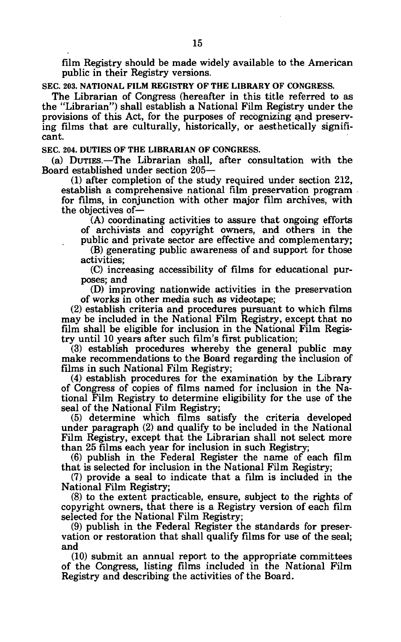film Registry should be made widely available to the American public in their Registry versions.

**SEC. 203. NATIONAL FILM REGISTRY OF THE LIBRARY OF CONGRESS.** 

The Librarian of Congress (hereafter in this title referred to as the "Librarian") shall establish a National Film Registry under the provisions of this Act, for the purposes of recognizing and preserving films that are culturally, historically, or aesthetically significant.

**SEC. 204. DUTIES OF THE LIBRARIAN OF CONGRESS.** 

(a) DUTIES.—The Librarian shall, after consultation with the Board established under section 205—

(1) after completion of the study required under section 212, establish a comprehensive national film preservation program for films, in conjunction with other major film archives, with the objectives of—

(A) coordinating activities to assure that ongoing efforts of archivists and copyright owners, and others in the public and private sector are effective and complementary;

(B) generating public awareness of and support for those activities;

(C) increasing accessibility of films for educational purposes; and

(D) improving nationwide activities in the preservation of works in other media such as videotape;

(2) establish criteria and procedures pursuant to which films may be included in the National Film Registry, except that no film shall be eligible for inclusion in the National Film Registry until 10 years after such film's first publication;

(3) establish procedures whereby the general public may make recommendations to the Board regarding the inclusion of films in such National Film Registry;

(4) establish procedures for the examination by the Library of Congress of copies of films named for inclusion in the National Film Registry to determine eligibility for the use of the seal of the National Film Registry;

(5) determine which films satisfy the criteria developed under paragraph (2) and qualify to be included in the National Film Registry, except that the Librarian shall not select more than 25 films each year for inclusion in such Registry;

(6) publish in the Federal Register the name of each film that is selected for inclusion in the National Film Registry;

(7) provide a seal to indicate that a film is included in the National Film Registry;

(8) to the extent practicable, ensure, subject to the rights of copyright owners, that there is a Registry version of each film selected for the National Film Registry;

(9) publish in the Federal Register the standards for preservation or restoration that shall qualify films for use of the seal; and

(10) submit an annual report to the appropriate committees of the Congress, listing films included in the National Film Registry and describing the activities of the Board.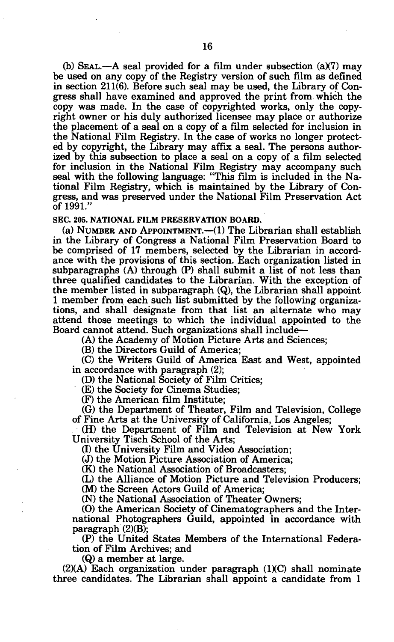(b) SEAL.—A seal provided for a film under subsection  $(a)(7)$  may be used on any copy of the Registry version of such film as defined in section 211(6). Before such seal may be used, the Library of Congress shall have examined and approved the print from which the copy was made. In the case of copyrighted works, only the copyright owner or his duly authorized licensee may place or authorize the placement of a seal on a copy of a film selected for inclusion in the National Film Registry. In the case of works no longer protected by copyright, the Library may affix a seal. The persons authorized by this subsection to place a seal on a copy of a film selected for inclusion in the National Film Registry may accompany such seal with the following language: "This film is included in the National Film Registry, which is maintained by the Library of Congress, and was preserved under the National Film Preservation Act of 1991."

# **SEC. 205. NATIONAL FILM PRESERVATION BOARD.**

(a) NUMBER AND APPOINTMENT.—(1) The Librarian shall establish in the Library of Congress a National Film Preservation Board to be comprised of 17 members, selected by the Librarian in accordance with the provisions of this section. Each organization listed in subparagraphs (A) through (P) shall submit a list of not less than three qualified candidates to the Librarian. With the exception of the member listed in subparagraph (Q), the Librarian shall appoint 1 member from each such list submitted by the following organizations, and shall designate from that list an alternate who may attend those meetings to which the individual appointed to the Board cannot attend. Such organizations shall include—

(A) the Academy of Motion Picture Arts and Sciences;

(B) the Directors Guild of America;

(C) the Writers Guild of America East and West, appointed in accordance with paragraph (2);

(D) the National Society of Film Critics;

(E) the Society for Cinema Studies;

(F) the American film Institute;

(G) the Department of Theater, Film and Television, College of Fine Arts at the University of California, Los Angeles;

(H) the Department of Film and Television at New York University Tisch School of the Arts;

(I) the University Film and Video Association;

(J) the Motion Picture Association of America;

(K) the National Association of Broadcasters;

(L) the Alliance of Motion Picture and Television Producers;

(M) the Screen Actors Guild of America;

(N) the National Association of Theater Owners;

(O) the American Society of Cinematographers and the International Photographers Guild, appointed in accordance with paragraph (2)(B);

(P) the United States Members of the International Federation of Film Archives; and

(Q) a member at large.

(2)(A) Each organization under paragraph (1)(C) shall nominate three candidates. The Librarian shall appoint a candidate from 1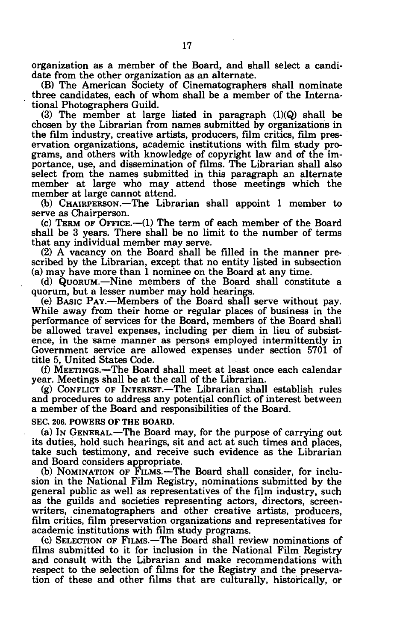organization as a member of the Board, and shall select a candidate from the other organization as an alternate.

(B) The American Society of Cinematographers shall nominate three candidates, each of whom shall be a member of the International Photographers Guild.

(3) The member at large listed in paragraph (1)(Q) shall be chosen by the Librarian from names submitted by organizations in the film industry, creative artists, producers, film critics, film preservation organizations, academic institutions with film study programs, and others with knowledge of copyright law and of the importance, use, and dissemination of films. The Librarian shall also select from the names submitted in this paragraph an alternate member at large who may attend those meetings which the member at large cannot attend.

(b) CHAIRPERSON.—The Librarian shall appoint 1 member to serve as Chairperson.

(c) TERM OF OFFICE.—(1) The term of each member of the Board shall be 3 years. There shall be no limit to the number of terms that any individual member may serve.

(2) A vacancy on the Board shall be filled in the manner prescribed by the Librarian, except that no entity listed in subsection (a) may have more than 1 nominee on the Board at any time.

(d) QUORUM.—Nine members of the Board shall constitute a quorum, but a lesser number may hold hearings.

(e) BASIC PAY.—Members of the Board shall serve without pay. While away from their home or regular places of business in the performance of services for the Board, members of the Board shall be allowed travel expenses, including per diem in lieu of subsistence, in the same manner as persons employed intermittently in Government service are allowed expenses under section 5701 of title 5, United States Code.

(f) MEETINGS.—The Board shall meet at least once each calendar year. Meetings shall be at the call of the Librarian.

(g) CONFLICT OF INTEREST.—The Librarian shall establish rules and procedures to address any potential conflict of interest between a member of the Board and responsibilities of the Board.

**SEC. 206. POWERS OF THE BOARD.** 

(a) IN GENERAL.—The Board may, for the purpose of carrying out its duties, hold such hearings, sit and act at such times and places, take such testimony, and receive such evidence as the Librarian and Board considers appropriate.

(b) NOMINATION OF FILMS.—The Board shall consider, for inclusion in the National Film Registry, nominations submitted by the general public as well as representatives of the film industry, such as the guilds and societies representing actors, directors, screenwriters, cinematographers and other creative artists, producers, film critics, film preservation organizations and representatives for academic institutions with film study programs.

(c) SELECTION OF FILMS.—The Board shall review nominations of films submitted to it for inclusion in the National Film Registry and consult with the Librarian and make recommendations with respect to the selection of films for the Registry and the preservation of these and other films that are culturally, historically, or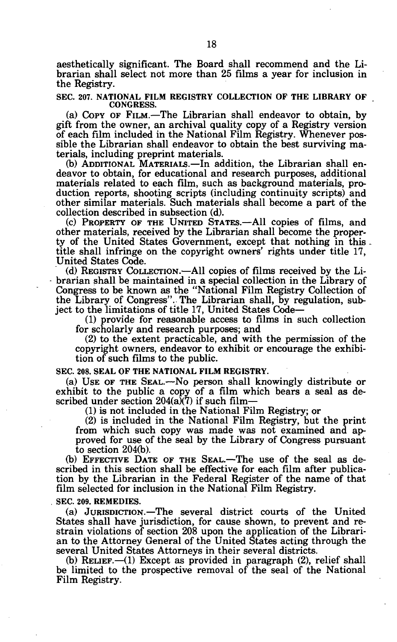aesthetically significant. The Board shall recommend and the Librarian shall select not more than 25 films a year for inclusion in the Registry.

**SEC. 207. NATIONAL FILM REGISTRY COLLECTION OF THE LIBRARY OF CONGRESS.** 

(a) COPY OF FILM.—The Librarian shall endeavor to obtain, by gift from the owner, an archival quality copy of a Registry version of each film included in the National Film Registry. Whenever possible the Librarian shall endeavor to obtain the best surviving materials, including preprint materials.

(b) ADDITIONAL MATERIALS.—In addition, the Librarian shall endeavor to obtain, for educational and research purposes, additional materials related to each film, such as background materials, production reports, shooting scripts (including continuity scripts) and other similar materials. Such materials shall become a part of the collection described in subsection (d).

(c) PROPERTY OF THE UNITED STATES.—All copies of films, and other materials, received by the Librarian shall become the property of the United States Government, except that nothing in this title shall infringe on the copyright owners' rights under title 17, United States Code.

(d) REGISTRY COLLECTION.—All copies of films received by the Li- • brarian shall be maintained in a special collection in the Library of Congress to be known as the "National Film Registry Collection of the Library of Congress". The Librarian shall, by regulation, subject to the limitations of title 17, United States Code—

(1) provide for reasonable access to films in such collection for scholarly and research purposes; and

(2) to the extent practicable, and with the permission of the copyright owners, endeavor to exhibit or encourage the exhibition of such films to the public.

**SEC. 208. SEAL OF THE NATIONAL FILM REGISTRY.** 

(a) USE OF THE SEAL.—No person shall knowingly distribute or exhibit to the public a copy of a film which bears a seal as described under section  $204(a)(7)$  if such film-

(1) is not included in the National Film Registry; or

(2) is included in the National Film Registry, but the print from which such copy was made was not examined and approved for use of the seal by the Library of Congress pursuant to section 204(b).

(b) EFFECTIVE DATE OF THE SEAL.—The use of the seal as described in this section shall be effective for each film after publication by the Librarian in the Federal Register of the name of that film selected for inclusion in the National Film Registry.

**SEC. 209. REMEDIES.** 

(a) JURISDICTION.—The several district courts of the United States shall have jurisdiction, for cause shown, to prevent and restrain violations of section 208 upon the application of the Librarian to the Attorney General of the United States acting through the several United States Attorneys in their several districts.

(b) RELIEF.—(1) Except as provided in paragraph (2), relief shall be limited to the prospective removal of the seal of the National Film Registry.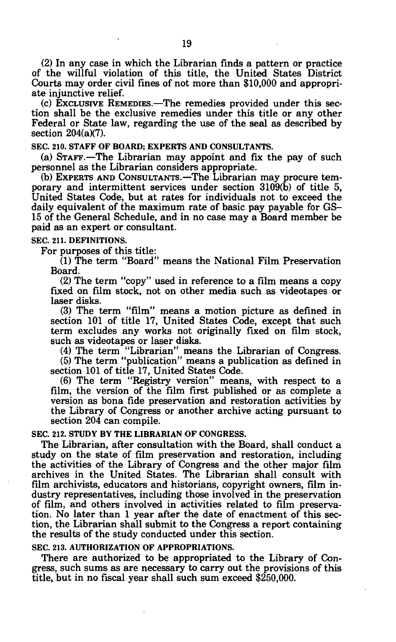(2) In any case in which the Librarian finds a pattern or practice of the willful violation of this title, the United States District Courts may order civil fines of not more than \$10,000 and appropriate injunctive relief.

(c) EXCLUSIVE REMEDIES.—The remedies provided under this section shall be the exclusive remedies under this title or any other Federal or State law, regarding the use of the seal as described by section 204(a)(7).

**SEC. 210. STAFF OF BOARD; EXPERTS AND CONSULTANTS.** 

(a) STAFF.—The Librarian may appoint and fix the pay of such personnel as the Librarian considers appropriate.

(b) EXPERTS AND CONSULTANTS.—The Librarian may procure temporary and intermittent services under section 3109(b) of title 5, United States Code, but at rates for individuals not to exceed the daily equivalent of the maximum rate of basic pay payable for GS-15 of the General Schedule, and in no case may a Board member be paid as an expert or consultant.

**SEC. 211. DEFINITIONS.** 

For purposes of this title:

(1) The term "Board" means the National Film Preservation Board.

(2) The term "copy" used in reference to a film means a copy fixed on film stock, not on other media such as videotapes or laser disks.

(3) The term "film" means a motion picture as defined in section 101 of title 17, United States Code, except that such term excludes any works not originally fixed on film stock, such as videotapes or laser disks.

(4) The term "Librarian" means the Librarian of Congress.

(5) The term "publication" means a publication as defined in section 101 of title 17, United States Code.

(6) The term "Registry version" means, with respect to a film, the version of the film first published or as complete a version as bona fide preservation and restoration activities by the Library of Congress or another archive acting pursuant to section 204 can compile.

#### **SEC. 212. STUDY BY THE LIBRARIAN OF CONGRESS.**

The Librarian, after consultation with the Board, shall conduct a study on the state of film preservation and restoration, including the activities of the Library of Congress and the other major filni archives in the United States. The Librarian shall consult with film archivists, educators and historians, copyright owners, film industry representatives, including those involved in the preservation of film, and others involved in activities related to film preservation. No later than 1 year after the date of enactment of this section, the Librarian shall submit to the Congress a report containing the results of the study conducted under this section.

**SEC. 213. AUTHORIZATION OF APPROPRIATIONS.** 

There are authorized to be appropriated to the Library of Congress, such sums as are necessary to carry out the provisions of this title, but in no fiscal year shall such sum exceed \$250,000.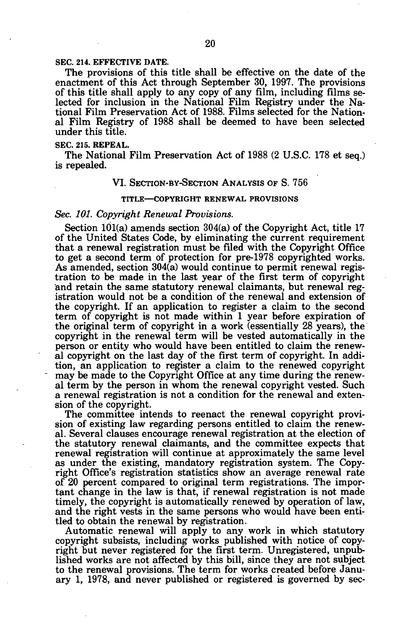#### **SEC. 214. EFFECTIVE DATE.**

The provisions of this title shall be effective on the date of the enactment of this Act through September 30, 1997. The provisions of this title shall apply to any copy of any film, including films selected for inclusion in the National Film Registry under the National Film Preservation Act of 1988. Films selected for the National Film Registry of 1988 shall be deemed to have been selected under this title.

#### **SEC. 215. REPEAL.**

The National Film Preservation Act of 1988 (2 U.S.C. 178 et seq.) is repealed.

#### VI. SECTION-BY-SECTION ANALYSIS OF S. 756

#### **TITLE—COPYRIGHT RENEWAL PROVISIONS**

#### *Sec. 101. Copyright Renewal Provisions.*

Section 101(a) amends section 304(a) of the Copyright Act, title 17 of the United States Code, by eliminating the current requirement that a renewal registration must be filed with the Copyright Office to get a second term of protection for pre-1978 copyrighted works. As amended, section 304(a) would continue to permit renewal registration to be made in the last year of the first term of copyright and retain the same statutory renewal claimants, but renewal registration would not be a condition of the renewal and extension of the copyright. If an application to register a claim to the second term of copyright is not made within 1 year before expiration of the original term of copyright in a work (essentially 28 years), the copyright in the renewal term will be vested automatically in the person or entity who would have been entitled to claim the renewal copyright on the last day of the first term of copyright. In addition, an application to register a claim to the renewed copyright may be made to the Copyright Office at any time during the renewal term by the person in whom the renewal copyright vested. Such a renewal registration is not a condition for the renewal and extension of the copyright.

The committee intends to reenact the renewal copyright provision of existing law regarding persons entitled to claim the renewal. Several clauses encourage renewal registration at the election of the statutory renewal claimants, and the committee expects that renewal registration will continue at approximately the same level as under the existing, mandatory registration system. The Copyright Office's registration statistics show an average renewal rate of 20 percent compared to original term registrations. The important change in the law is that, if renewal registration is not made timely, the copyright is automatically renewed by operation of law, and the right vests in the same persons who would have been entitled to obtain the renewal by registration.

Automatic renewal will apply to any work in which statutory copyright subsists, including works published with notice of copyright but never registered for the first term. Unregistered, unpublished works are not affected by this bill, since they are not subject to the renewal provisions. The term for works created before January 1, 1978, and never published or registered is governed by sec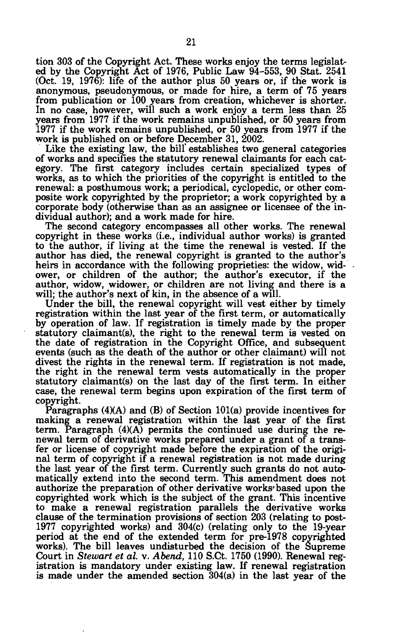tion 303 of the Copyright Act. These works enjoy the terms legislated by the Copyright Act of 1976, Public Law 94-553, 90 Stat. 2541 (Oct. 19, 1976): life of the author plus 50 years or, if the work is anonymous, pseudonymous, or made for hire, a term of 75 years from publication or 100 years from creation, whichever is shorter. In no case, however, will such a work enjoy a term less than 25 years from 1977 if the work remains unpublished, or 50 years from 1977 if the work remains unpublished, or 50 years from 1977 if the work is published on or before December 31, 2002.

Like the existing law, the bill' establishes two general categories of works and specifies the statutory renewal claimants for each category. The first category includes certain specialized types of works, as to which the priorities of the copyright is entitled to the renewal: a posthumous work; a periodical, cyclopedic, or other composite work copyrighted by the proprietor; a work copyrighted by. a corporate body (otherwise than as an assignee or licensee of the individual author); and a work made for hire.

The second category encompasses all other works. The renewal copyright in these works (i.e., individual author works) is granted to the author, if living at the time the renewal is vested. If the author has died, the renewal copyright is granted to the author's heirs in accordance with the following proprieties: the widow, widower, or children of the author; the author's executor, if the author, widow, widower, or children are not living and there is a will; the author's next of kin, in the absence of a will.

Under the bill, the renewal copyright will vest either by timely registration within the last year of the first term, or automatically by operation of law. If registration is timely made by the proper statutory claimant(s), the right to the renewal term is vested on the date of registration in the Copyright Office, and subsequent events (such as the death of the author or other claimant) will not divest the rights in the renewal term. If registration is not made, the right in the renewal term vests automatically in the proper statutory claimant(s) on the last day of the first term. In either case, the renewal term begins upon expiration of the first term of copyright.

Paragraphs (4)(A) and (B) of Section 101(a) provide incentives for making a renewal registration within the last year of the first term. Paragraph  $(4)(A)$  permits the continued use during the renewal term of derivative works prepared under a grant of a transfer or license of copyright made before the expiration of the original term of copyright if a renewal registration is not made during the last year of the first term. Currently such grants do not automatically extend into the second term. This amendment does not authorize the preparation of other derivative works'based upon the copyrighted work which is the subject of the grant. This incentive to make a renewal registration parallels the derivative works clause of the termination provisions of section 203 (relating to post-1977 copyrighted works) and 304(c) (relating only to the 19-year period at the end of the extended term for pre-1978 copyrighted works). The bill leaves undisturbed the decision of the Supreme Court in *Stewart et al.* v. *Abend,* 110 S.Ct. 1750 (1990). Renewal registration is mandatory under existing law. If renewal registration is made under the amended section 304(a) in the last year of the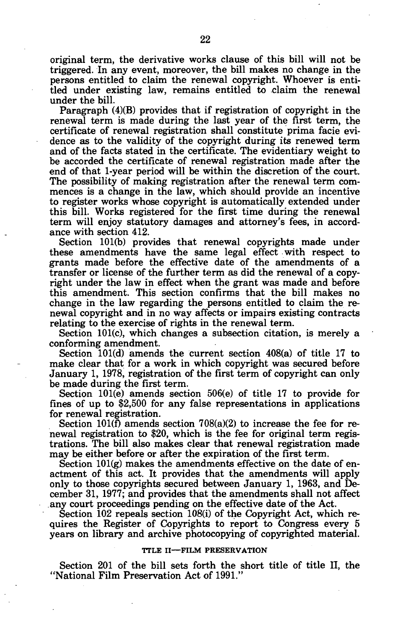original term, the derivative works clause of this bill will not be triggered. In any event, moreover, the bill makes no change in the persons entitled to claim the renewal copyright. Whoever is entitled under existing law, remains entitled to claim the renewal under the bill.

Paragraph (4)(B) provides that if registration of copyright in the renewal term is made during the last year of the first term, the certificate of renewal registration shall constitute prima facie evidence as to the validity of the copyright during its renewed term and of the facts stated in the certificate. The evidentiary weight to be accorded the certificate of renewal registration made after the end of that 1-year period will be within the discretion of the court. The possibility of making registration after the renewal term commences is a change in the law, which should provide an incentive to register works whose copyright is automatically extended under this bill. Works registered for the first time during the renewal term will enjoy statutory damages and attorney's fees, in accordance with section 412.

Section 101(b) provides that renewal copyrights made under these amendments have the same legal effect with respect to grants made before the effective date of the amendments of a transfer or license of the further term as did the renewal of a copyright under the law in effect when the grant was made and before this amendment. This section confirms that the bill makes no change in the law regarding the persons entitled to claim the renewal copyright and in no way affects or impairs existing contracts relating to the exercise of rights in the renewal term.

Section 101(c), which changes a subsection citation, is merely a conforming amendment.

Section 101(d) amends the current section 408(a) of title 17 to make clear that for a work in which copyright was secured before January 1, 1978, registration of the first term of copyright can only be made during the first term.

Section 101(e) amends section 506(e) of title 17 to provide for fines of up to \$2,500 for any false representations in applications for renewal registration.

Section  $101(f)$  amends section  $708(a)(2)$  to increase the fee for renewal registration to \$20, which is the fee for original term registrations. The bill also makes clear that renewal registration made may be either before or after the expiration of the first term.

Section  $101(g)$  makes the amendments effective on the date of enactment of this act. It provides that the amendments will apply only to those copyrights secured between January 1, 1963, and December 31, 1977; and provides that the amendments shall not affect any court proceedings pending on the effective date of the Act.

Section 102 repeals section 108(i) of the Copyright Act, which requires the Register of Copyrights to report to Congress every 5 years on library and archive photocopying of copyrighted material.

#### **TTLE II—FILM PRESERVATION**

Section 201 of the bill sets forth the short title of title II, the "National Film Preservation Act of 1991."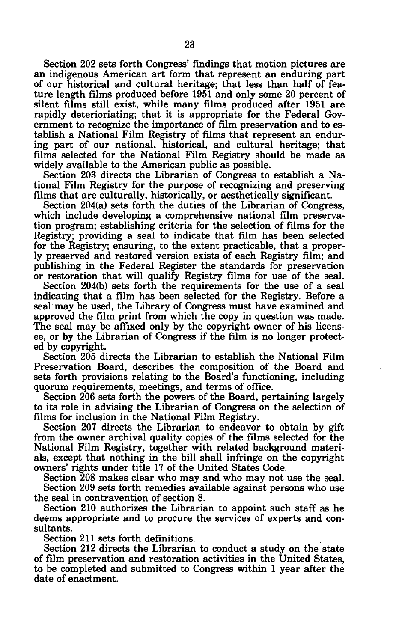Section 202 sets forth Congress' findings that motion pictures are an indigenous American art form that represent an enduring part of our historical and cultural heritage; that less than half of feature length films produced before 1951 and only some 20 percent of silent films still exist, while many films produced after 1951 are rapidly deterioriating; that it is appropriate for the Federal Government to recognize the importance of film preservation and to establish a National Film Registry of films that represent an enduring part of our national, historical, and cultural heritage; that films selected for the National Film Registry should be made as widely available to the American public as possible.

Section 203 directs the Librarian of Congress to establish a National Film Registry for the purpose of recognizing and preserving films that are culturally, historically, or aesthetically significant.

Section 204(a) sets forth the duties of the Librarian of Congress, which include developing a comprehensive national film preservation program; establishing criteria for the selection of films for the Registry; providing a seal to indicate that film has been selected for the Registry; ensuring, to the extent practicable, that a properly preserved and restored version exists of each Registry film; and publishing in the Federal Register the standards for preservation or restoration that will qualify Registry films for use of the seal.

Section 204(b) sets forth the requirements for the use of a seal indicating that a film has been selected for the Registry. Before a seal may be used, the Library of Congress must have examined and approved the film print from which the copy in question was made. The seal may be affixed only by the copyright owner of his licensee, or by the Librarian of Congress if the film is no longer protected by copyright.

Section 205 directs the Librarian to establish the National Film Preservation Board, describes the composition of the Board and sets forth provisions relating to the Board's functioning, including quorum requirements, meetings, and terms of office.

Section 206 sets forth the powers of the Board, pertaining largely to its role in advising the Librarian of Congress on the selection of films for inclusion in the National Film Registry.

Section 207 directs the Librarian to endeavor to obtain by gift from the owner archival quality copies of the films selected for the National Film Registry, together with related background materials, except that nothing in the bill shall infringe on the copyright owners' rights under title 17 of the United States Code.

Section 208 makes clear who may and who may not use the seal. Section 209 sets forth remedies available against persons who use the seal in contravention of section 8.

Section 210 authorizes the Librarian to appoint such staff as he deems appropriate and to procure the services of experts and consultants.

Section 211 sets forth definitions.

Section 212 directs the Librarian to conduct a study on the state of film preservation and restoration activities in the United States, to be completed and submitted to Congress within 1 year after the date of enactment.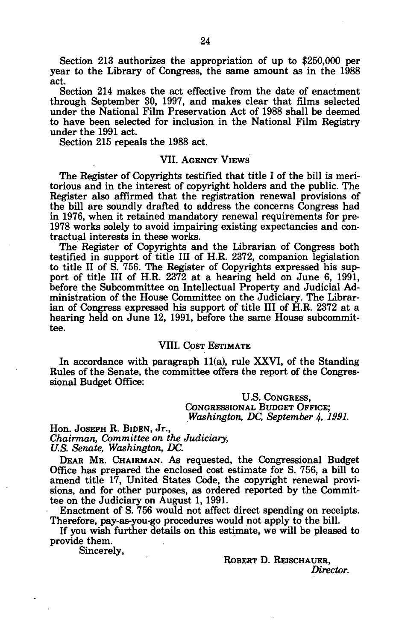Section 213 authorizes the appropriation of up to \$250,000 per year to the Library of Congress, the same amount as in the 1988 act.

Section 214 makes the act effective from the date of enactment through September 30, 1997, and makes clear that films selected under the National Film Preservation Act of 1988 shall be deemed to have been selected for inclusion in the National Film Registry under the 1991 act.

Section 215 repeals the 1988 act.

### VII. AGENCY VIEWS

The Register of Copyrights testified that title I of the bill is meritorious and in the interest of copyright holders and the public. The Register also affirmed that the registration renewal provisions of the bill are soundly drafted to address the concerns Congress had in 1976, when it retained mandatory renewal requirements for pre-1978 works solely to avoid impairing existing expectancies and contractual interests in these works.

The Register of Copyrights and the Librarian of Congress both testified in support of title III of H.R. 2372, companion legislation to title II of S. 756. The Register of Copyrights expressed his support of title III of H.R. 2372 at a hearing held on June 6, 1991, before the Subcommittee on Intellectual Property and Judicial Administration of the House Committee on the Judiciary. The Librarian of Congress expressed his support of title III of H.R. 2372 at a hearing held on June 12, 1991, before the same House subcommittee.

# VIII. COST ESTIMATE

In accordance with paragraph 11(a), rule XXVI, of the Standing Rules of the Senate, the committee offers the report of the Congressional Budget Office:

> U.S. CONGRESS, CONGRESSIONAL BUDGET OFFICE; *Washington, DC, September 4, 1991.*

Hon. JOSEPH R. BIDEN, Jr., *Chairman, Committee on the Judiciary, U.S. Senate, Washington, DC.* 

DEAR MR. CHAIRMAN. AS requested, the Congressional Budget Office has prepared the enclosed cost estimate for S. 756, a bill to amend title 17, United States Code, the copyright renewal provisions, and for other purposes, as ordered reported by the Committee on the Judiciary on August 1, 1991.

Enactment of S. 756 would not affect direct spending on receipts. Therefore, pay-as-you-go procedures would not apply to the bill.

If you wish further details on this estimate, we will be pleased to provide them.

Sincerely,

ROBERT D. REISCHAUER, *Director.*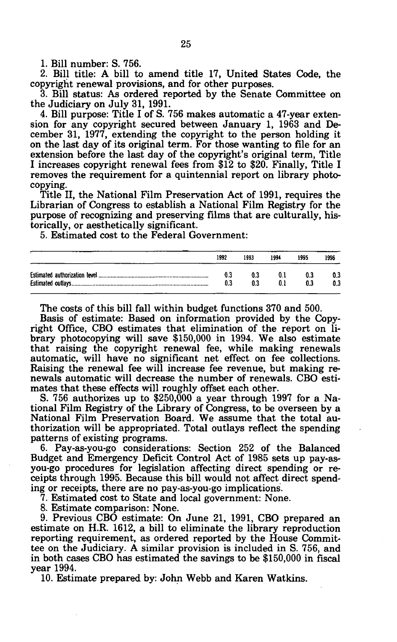1. Bill number: S. 756.

2. Bill title: A bill to amend title 17, United States Code, the copyright renewal provisions, and for other purposes.

3. Bill status: As ordered reported by the Senate Committee on the Judiciary on July 31, 1991.

4. Bill purpose: Title I of S. 756 makes automatic a 47-year extension for any copyright secured between January 1, 1963 and December 31, 1977, extending the copyright to the person holding it on the last day of its original term. For those wanting to file for an extension before the last day of the copyright's original term, Title I increases copyright renewal fees from \$12 to \$20. Finally, Title I removes the requirement for a quintennial report on library photocopying.

Title II, the National Film Preservation Act of 1991, requires the Librarian of Congress to establish a National Film Registry for the purpose of recognizing and preserving films that are culturally, historically, or aesthetically significant.

5. Estimated cost to the Federal Government:

| 1992 | 1993 | 1994       | 1995 | 1996       |
|------|------|------------|------|------------|
| 0.3  | 0.3  | 0.1<br>0.1 | 0.3  | 0.3<br>0.3 |

The costs of this bill fall within budget functions 370 and 500.

Basis of estimate: Based on information provided by the Copyright Office, CBO estimates that elimination of the report on library photocopying will save \$150,000 in 1994. We also estimate that raising the copyright renewal fee, while making renewals automatic, will have no significant net effect on fee collections. Raising the renewal fee will increase fee revenue, but making renewals automatic will decrease the number of renewals. CBO estimates that these effects will roughly offset each other.

5. 756 authorizes up to \$250,000 a year through 1997 for a National Film Registry of the Library of Congress, to be overseen by a National Film Preservation Board. We assume that the total authorization will be appropriated. Total outlays reflect the spending patterns of existing programs.

6. Pay-as-you-go considerations: Section 252 of the Balanced Budget and Emergency Deficit Control Act of 1985 sets up pay-asyou-go procedures for legislation affecting direct spending or receipts through 1995. Because this bill would not affect direct spending or receipts, there are no pay-as-you-go implications.

7. Estimated cost to State and local government: None.

8. Estimate comparison: None.

9. Previous CBO estimate: On June 21, 1991, CBO prepared an estimate on H.R. 1612, a bill to eliminate the library reproduction reporting requirement, as ordered reported by the House Committee on the Judiciary. A similar provision is included in S. 756, and in both cases CBO has estimated the savings to be \$150,000 in fiscal year 1994.

10. Estimate prepared by: John Webb and Karen Watkins.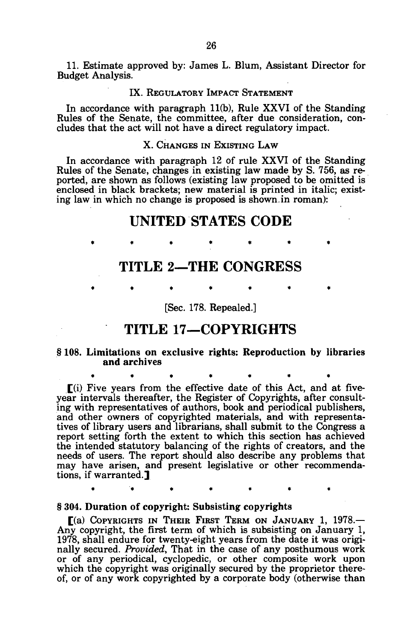11. Estimate approved by: James L. Blum, Assistant Director for Budget Analysis.

### IX. REGULATORY IMPACT STATEMENT

In accordance with paragraph 11(b), Rule XXVI of the Standing Rules of the Senate, the committee, after due consideration, concludes that the act will not have a direct regulatory impact.

# X. CHANGES IN EXISTING LAW

In accordance with paragraph 12 of rule XXVI of the Standing Rules of the Senate, changes in existing law made by S. 756, as reported, are shown as follows (existing law proposed to be omitted is enclosed in black brackets; new material is printed in italic; existing law in which no change is proposed is shown.in roman):

# **UNITED STATES CODE**

**TITLE 2—THE CONGRESS** 

\*\*\*\* \*\*\* \*\* \*\* \*

\*\*\*\* \*\*\* \*\* \*

**\*\*\*\*\*\* \*** 

**\*\*\*\*\*\* \*** 

[Sec. 178. Repealed.]

# **TITLE 17—COPYRIGHTS**

# § 108. Limitations on exclusive rights: Reproduction by libraries and archives

[(i) Five years from the effective date of this Act, and at fiveyear intervals thereafter, the Register of Copyrights, after consulting with representatives of authors, book and periodical publishers, and other owners of copyrighted materials, and with representatives of library users and librarians, shall submit to the Congress a report setting forth the extent to which this section has achieved the intended statutory balancing of the rights of creators, and the needs of users. The report should also describe any problems that may have arisen, and present legislative or other recommendations, if warranted.<sup>1</sup>

#### § 304. Duration of copyright: Subsisting copyrights

[(a) COPYRIGHTS IN THEIR FIRST TERM ON JANUARY 1, 1978.— Any copyright, the first term of which is subsisting on January 1, 1978, shall endure for twenty-eight years from the date it was originally secured. *Provided,* That in the case of any posthumous work or of any periodical, cyclopedic, or other composite work upon which the copyright was originally secured by the proprietor thereof, or of any work copyrighted by a corporate body (otherwise than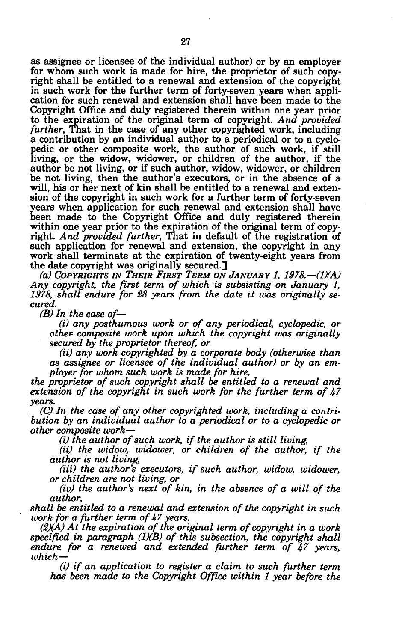as assignee or licensee of the individual author) or by an employer for whom such work is made for hire, the proprietor of such copyright shall be entitled to a renewal and extension of the copyright in such work for the further term of forty-seven years when application for such renewal and extension shall have been made to the Copyright Office and duly registered therein within one year prior to the expiration of the original term of copyright. *And provided further,* That in the case of any other copyrighted work, including a contribution by an individual author to a periodical or to a cyclopedic or other composite work, the author of such work, if still living, or the widow, widower, or children of the author, if the author be not living, or if such author, widow, widower, or children be not living, then the author's executors, or in the absence of a will, his or her next of kin shall be entitled to a renewal and extension of the copyright in such work for a further term of forty-seven years when application for such renewal and extension shall have been made to the Copyright Office and duly registered therein within one year prior to the expiration of the original term of copyright. *And provided further,* That in default of the registration of such application for renewal and extension, the copyright in any work shall terminate at the expiration of twenty-eight years from the date copyright was originally secured.]

*(a) COPYRIGHTS IN THEIR FIRST TERM ON JANUARY 1, 1978.—(1XA) Any copyright, the first term of which is subsisting on January 1, 1978, shall endure for 28 years from the date it was originally secured.* 

*(B) In the case of—* 

*(i) any posthumous work or of any periodical, cyclopedic, or other composite work upon which the copyright was originally secured by the proprietor thereof, or* 

*(ii) any work copyrighted by a corporate body (otherwise than as assignee or licensee of the individual author) or by an employer for whom such work is made for hire,* 

*the proprietor of such copyright shall be entitled to a renewal and extension of the copyright in such work for the further term of 47 years.* 

*. (C) In the case of any other copyrighted work, including a contribution by an individual author to a periodical or to a cyclopedic or other composite work*—

*(i) the author of such work, if the author is still living,* 

*(ii) the widow, widower, or children of the author, if the author is not living,* 

*(iii) the author's executors, if such author, widow, widower, or children are not living, or* 

*(iv) the author's next of kin, in the absence of a will of the author,* 

*shall be entitled to a renewal and extension of the copyright in such work for a further term of 47 years.* 

*(2)(A) At the expiration of the original term of copyright in a work specified in paragraph (1KB) of this subsection, the copyright shall endure for a renewed and extended further term of 47 years, which*—

*(i) if an application to register a claim to such further term has been made to the Copyright Office within 1 year before the*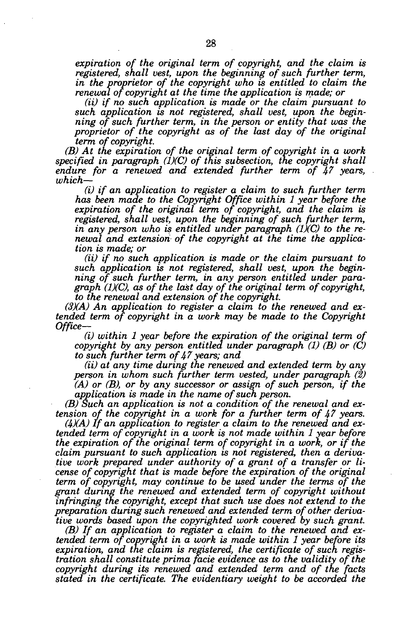*expiration of the original term of copyright, and the claim is registered, shall vest, upon the beginning of such further term, in the proprietor of the copyright who is entitled to claim the renewal of copyright at the time the application is made; or* 

*(ii) if no such application is made or the claim pursuant to such application is not registered, shall vest, upon the beginning of such further term, in the person or entity that was the proprietor of the copyright as of the last day of the original term of copyright.* 

*(B) At the expiration of the original term of copyright in a work specified in paragraph (1)(C) of this subsection, the copyright shall endure for a renewed and extended further term of 47 years, which*—

*(i) if an application to register a claim to such further term has been made to the Copyright Office within 1 year before the expiration of the original term of copyright, and the claim is registered, shall vest, upon the beginning of such further term, in any person who is entitled under paragraph (1)(C) to the renewal and extension of the copyright at the time the application is made; or* 

*(ii) if no such application is made or the claim pursuant to such application is not registered, shall vest, upon the beginning of such further term, in any person entitled under paragraph (1)(C), as of the last day of the original term of copyright, to the renewal and extension of the copyright.* 

*(3)(A) An application to register a claim to the renewed and extended term of copyright in a work may be made to the Copyright Office—* 

*(i) within 1 year before the expiration of the original term of copyright by any person entitled under paragraph (1) (B) or (C) to such further term of 47 years; and* 

*(ii) at any time during the renewed and extended term by any person in whom such further term vested, under paragraph (2) (A) or (B), or by any successor or assign of such person, if the application is made in the name of such person.* 

*(B) Such an application is not a condition of the renewal and extension of the copyright in a work for a further term of 47 years.* 

*(4)(A) If an application to register a claim to the renewed and extended term of copyright in a work is not made within 1 year before the expiration of the original term of copyright in a work, or if the claim pursuant to such application is not registered, then a derivative work prepared under authority of a grant of a transfer or license of copyright that is made before the expiration of the original term of copyright, may continue to be used under the terms of the grant during the renewed and extended term of copyright without infringing the copyright, except that such use does not extend to the preparation during such renewed and extended term of other derivative words based upon the copyrighted work covered by such grant.* 

*(B) If an application to register a claim to the renewed and extended term of copyright in a work is made within 1 year before its expiration, and the claim is registered, the certificate of such registration shall constitute prima facie evidence as to the validity of the copyright during its renewed and extended term and of the facts stated in the certificate. The evidentiary weight to be accorded the*